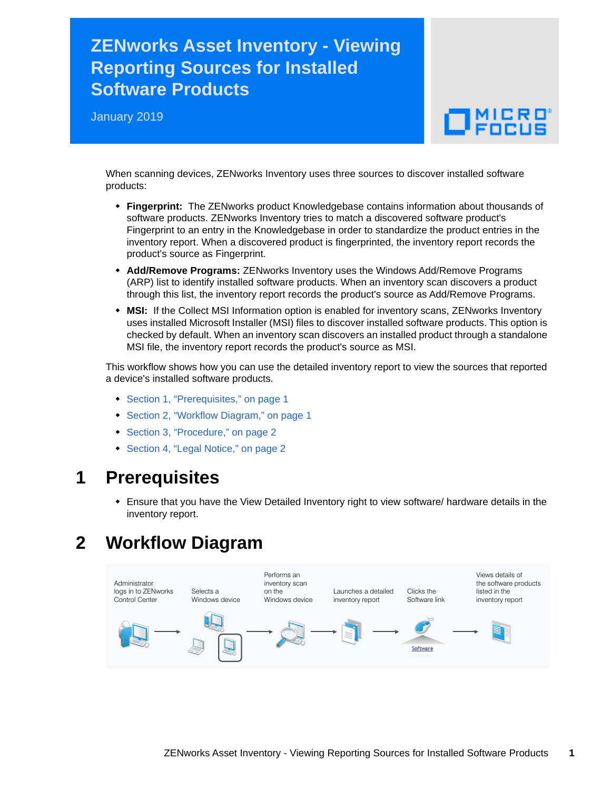# **ZENworks Asset Inventory - Viewing Reporting Sources for Installed Software Products**

January 2019

# $\Box$   $_{\rm FDCUS}$

When scanning devices, ZENworks Inventory uses three sources to discover installed software products:

- **Fingerprint:** The ZENworks product Knowledgebase contains information about thousands of software products. ZENworks Inventory tries to match a discovered software product's Fingerprint to an entry in the Knowledgebase in order to standardize the product entries in the inventory report. When a discovered product is fingerprinted, the inventory report records the product's source as Fingerprint.
- **Add/Remove Programs:** ZENworks Inventory uses the Windows Add/Remove Programs (ARP) list to identify installed software products. When an inventory scan discovers a product through this list, the inventory report records the product's source as Add/Remove Programs.
- **MSI:** If the Collect MSI Information option is enabled for inventory scans, ZENworks Inventory uses installed Microsoft Installer (MSI) files to discover installed software products. This option is checked by default. When an inventory scan discovers an installed product through a standalone MSI file, the inventory report records the product's source as MSI.

This workflow shows how you can use the detailed inventory report to view the sources that reported a device's installed software products.

- [Section 1, "Prerequisites," on page 1](#page-0-0)
- [Section 2, "Workflow Diagram," on page 1](#page-0-1)
- [Section 3, "Procedure," on page 2](#page-1-0)
- [Section 4, "Legal Notice," on page 2](#page-1-1)

#### <span id="page-0-0"></span>**1 Prerequisites**

 Ensure that you have the View Detailed Inventory right to view software/ hardware details in the inventory report.

## <span id="page-0-1"></span>**2 Workflow Diagram**